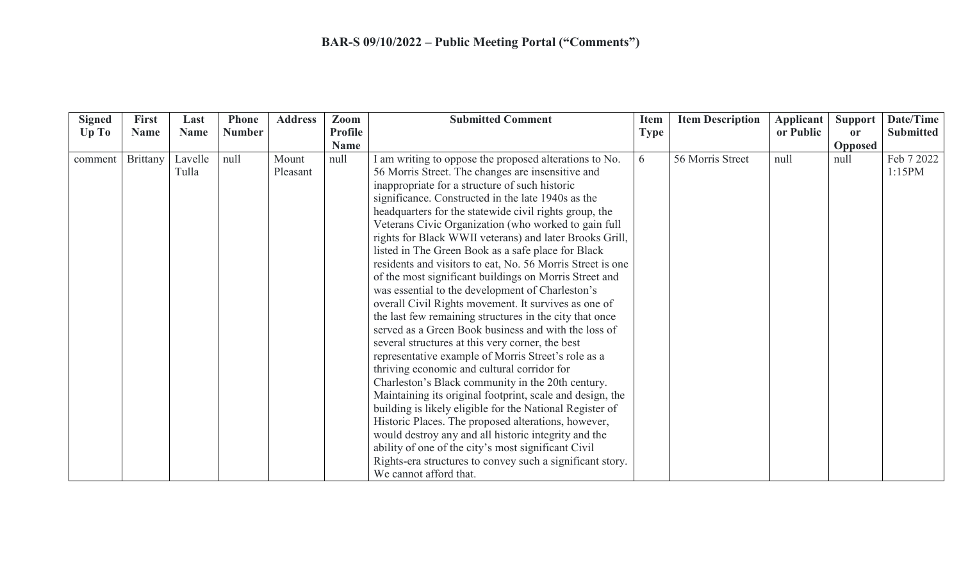| <b>Signed</b> | <b>First</b> | Last        | <b>Phone</b>  | <b>Address</b> | Zoom           | <b>Submitted Comment</b>                                   | <b>Item</b> | <b>Item Description</b> | <b>Applicant</b> | <b>Support</b> | Date/Time        |
|---------------|--------------|-------------|---------------|----------------|----------------|------------------------------------------------------------|-------------|-------------------------|------------------|----------------|------------------|
| Up To         | <b>Name</b>  | <b>Name</b> | <b>Number</b> |                | <b>Profile</b> |                                                            | <b>Type</b> |                         | or Public        | <b>or</b>      | <b>Submitted</b> |
|               |              |             |               |                | <b>Name</b>    |                                                            |             |                         |                  | <b>Opposed</b> |                  |
| comment       | Brittany     | Lavelle     | null          | Mount          | null           | I am writing to oppose the proposed alterations to No.     | 6           | 56 Morris Street        | null             | null           | Feb 7 2022       |
|               |              | Tulla       |               | Pleasant       |                | 56 Morris Street. The changes are insensitive and          |             |                         |                  |                | 1:15PM           |
|               |              |             |               |                |                | inappropriate for a structure of such historic             |             |                         |                  |                |                  |
|               |              |             |               |                |                | significance. Constructed in the late 1940s as the         |             |                         |                  |                |                  |
|               |              |             |               |                |                | headquarters for the statewide civil rights group, the     |             |                         |                  |                |                  |
|               |              |             |               |                |                | Veterans Civic Organization (who worked to gain full       |             |                         |                  |                |                  |
|               |              |             |               |                |                | rights for Black WWII veterans) and later Brooks Grill,    |             |                         |                  |                |                  |
|               |              |             |               |                |                | listed in The Green Book as a safe place for Black         |             |                         |                  |                |                  |
|               |              |             |               |                |                | residents and visitors to eat, No. 56 Morris Street is one |             |                         |                  |                |                  |
|               |              |             |               |                |                | of the most significant buildings on Morris Street and     |             |                         |                  |                |                  |
|               |              |             |               |                |                | was essential to the development of Charleston's           |             |                         |                  |                |                  |
|               |              |             |               |                |                | overall Civil Rights movement. It survives as one of       |             |                         |                  |                |                  |
|               |              |             |               |                |                | the last few remaining structures in the city that once    |             |                         |                  |                |                  |
|               |              |             |               |                |                | served as a Green Book business and with the loss of       |             |                         |                  |                |                  |
|               |              |             |               |                |                | several structures at this very corner, the best           |             |                         |                  |                |                  |
|               |              |             |               |                |                | representative example of Morris Street's role as a        |             |                         |                  |                |                  |
|               |              |             |               |                |                | thriving economic and cultural corridor for                |             |                         |                  |                |                  |
|               |              |             |               |                |                | Charleston's Black community in the 20th century.          |             |                         |                  |                |                  |
|               |              |             |               |                |                | Maintaining its original footprint, scale and design, the  |             |                         |                  |                |                  |
|               |              |             |               |                |                | building is likely eligible for the National Register of   |             |                         |                  |                |                  |
|               |              |             |               |                |                | Historic Places. The proposed alterations, however,        |             |                         |                  |                |                  |
|               |              |             |               |                |                | would destroy any and all historic integrity and the       |             |                         |                  |                |                  |
|               |              |             |               |                |                | ability of one of the city's most significant Civil        |             |                         |                  |                |                  |
|               |              |             |               |                |                | Rights-era structures to convey such a significant story.  |             |                         |                  |                |                  |
|               |              |             |               |                |                | We cannot afford that.                                     |             |                         |                  |                |                  |